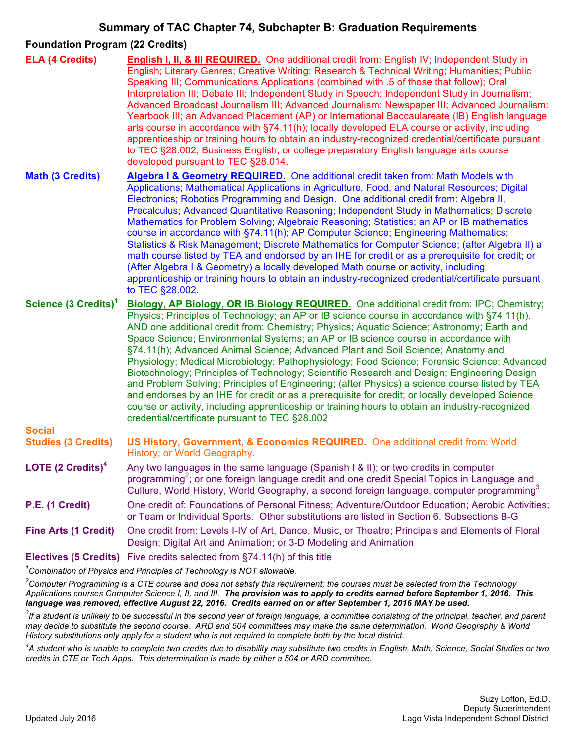# **Summary of TAC Chapter 74, Subchapter B: Graduation Requirements**

## **Foundation Program (22 Credits)**

| <b>ELA (4 Credits)</b>                                                    | English I, II, & III REQUIRED. One additional credit from: English IV; Independent Study in<br>English; Literary Genres; Creative Writing; Research & Technical Writing; Humanities; Public<br>Speaking III; Communications Applications (combined with .5 of those that follow); Oral<br>Interpretation III; Debate III; Independent Study in Speech; Independent Study in Journalism;<br>Advanced Broadcast Journalism III; Advanced Journalism: Newspaper III; Advanced Journalism:<br>Yearbook III; an Advanced Placement (AP) or International Baccaulareate (IB) English language<br>arts course in accordance with §74.11(h); locally developed ELA course or activity, including<br>apprenticeship or training hours to obtain an industry-recognized credential/certificate pursuant<br>to TEC §28.002; Business English; or college preparatory English language arts course<br>developed pursuant to TEC §28.014.                                                                                            |
|---------------------------------------------------------------------------|-------------------------------------------------------------------------------------------------------------------------------------------------------------------------------------------------------------------------------------------------------------------------------------------------------------------------------------------------------------------------------------------------------------------------------------------------------------------------------------------------------------------------------------------------------------------------------------------------------------------------------------------------------------------------------------------------------------------------------------------------------------------------------------------------------------------------------------------------------------------------------------------------------------------------------------------------------------------------------------------------------------------------|
| <b>Math (3 Credits)</b>                                                   | Algebra I & Geometry REQUIRED. One additional credit taken from: Math Models with<br>Applications; Mathematical Applications in Agriculture, Food, and Natural Resources; Digital<br>Electronics; Robotics Programming and Design. One additional credit from: Algebra II,<br>Precalculus; Advanced Quantitative Reasoning; Independent Study in Mathematics; Discrete<br>Mathematics for Problem Solving; Algebraic Reasoning; Statistics; an AP or IB mathematics<br>course in accordance with §74.11(h); AP Computer Science; Engineering Mathematics;<br>Statistics & Risk Management; Discrete Mathematics for Computer Science; (after Algebra II) a<br>math course listed by TEA and endorsed by an IHE for credit or as a prerequisite for credit; or<br>(After Algebra I & Geometry) a locally developed Math course or activity, including<br>apprenticeship or training hours to obtain an industry-recognized credential/certificate pursuant<br>to TEC §28.002.                                            |
| Science (3 Credits) <sup>1</sup>                                          | Biology, AP Biology, OR IB Biology REQUIRED. One additional credit from: IPC; Chemistry;<br>Physics; Principles of Technology; an AP or IB science course in accordance with §74.11(h).<br>AND one additional credit from: Chemistry; Physics; Aquatic Science; Astronomy; Earth and<br>Space Science; Environmental Systems; an AP or IB science course in accordance with<br>§74.11(h); Advanced Animal Science; Advanced Plant and Soil Science; Anatomy and<br>Physiology; Medical Microbiology; Pathophysiology; Food Science; Forensic Science; Advanced<br>Biotechnology; Principles of Technology; Scientific Research and Design; Engineering Design<br>and Problem Solving; Principles of Engineering; (after Physics) a science course listed by TEA<br>and endorses by an IHE for credit or as a prerequisite for credit; or locally developed Science<br>course or activity, including apprenticeship or training hours to obtain an industry-recognized<br>credential/certificate pursuant to TEC §28.002 |
| <b>Social</b><br><b>Studies (3 Credits)</b>                               | US History, Government, & Economics REQUIRED. One additional credit from: World<br>History; or World Geography.                                                                                                                                                                                                                                                                                                                                                                                                                                                                                                                                                                                                                                                                                                                                                                                                                                                                                                         |
| LOTE (2 Credits) <sup>4</sup>                                             | Any two languages in the same language (Spanish I & II); or two credits in computer<br>programming <sup>2</sup> ; or one foreign language credit and one credit Special Topics in Language and<br>Culture, World History, World Geography, a second foreign language, computer programming <sup>3</sup>                                                                                                                                                                                                                                                                                                                                                                                                                                                                                                                                                                                                                                                                                                                 |
| P.E. (1 Credit)                                                           | One credit of: Foundations of Personal Fitness; Adventure/Outdoor Education; Aerobic Activities;<br>or Team or Individual Sports. Other substitutions are listed in Section 6, Subsections B-G                                                                                                                                                                                                                                                                                                                                                                                                                                                                                                                                                                                                                                                                                                                                                                                                                          |
| <b>Fine Arts (1 Credit)</b>                                               | One credit from: Levels I-IV of Art, Dance, Music, or Theatre; Principals and Elements of Floral<br>Design; Digital Art and Animation; or 3-D Modeling and Animation                                                                                                                                                                                                                                                                                                                                                                                                                                                                                                                                                                                                                                                                                                                                                                                                                                                    |
|                                                                           | <b>Electives (5 Credits)</b> Five credits selected from §74.11(h) of this title                                                                                                                                                                                                                                                                                                                                                                                                                                                                                                                                                                                                                                                                                                                                                                                                                                                                                                                                         |
| $1$ Combination of Physics and Principles of Technology is NOT allowable. |                                                                                                                                                                                                                                                                                                                                                                                                                                                                                                                                                                                                                                                                                                                                                                                                                                                                                                                                                                                                                         |

*2 Computer Programming is a CTE course and does not satisfy this requirement; the courses must be selected from the Technology Applications courses Computer Science I, II, and III. The provision was to apply to credits earned before September 1, 2016. This language was removed, effective August 22, 2016. Credits earned on or after September 1, 2016 MAY be used.*

*3 If a student is unlikely to be successful in the second year of foreign language, a committee consisting of the principal, teacher, and parent may decide to substitute the second course. ARD and 504 committees may make the same determination. World Geography & World History substitutions only apply for a student who is not required to complete both by the local district.*

*4 A student who is unable to complete two credits due to disability may substitute two credits in English, Math, Science, Social Studies or two credits in CTE or Tech Apps. This determination is made by either a 504 or ARD committee.*